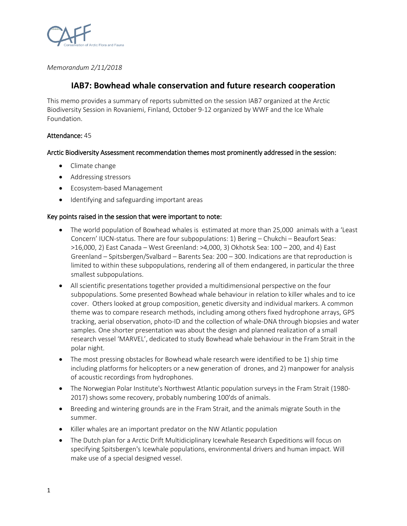

*Memorandum 2/11/2018*

# **IAB7: Bowhead whale conservation and future research cooperation**

This memo provides a summary of reports submitted on the session IAB7 organized at the Arctic Biodiversity Session in Rovaniemi, Finland, October 9-12 organized by WWF and the Ice Whale Foundation.

## Attendance: 45

### Arctic Biodiversity Assessment recommendation themes most prominently addressed in the session:

- Climate change
- Addressing stressors
- Ecosystem-based Management
- Identifying and safeguarding important areas

### Key points raised in the session that were important to note:

- The world population of Bowhead whales is estimated at more than 25,000 animals with a 'Least Concern' IUCN-status. There are four subpopulations: 1) Bering – Chukchi – Beaufort Seas: >16,000, 2) East Canada – West Greenland: >4,000, 3) Okhotsk Sea: 100 – 200, and 4) East Greenland – Spitsbergen/Svalbard – Barents Sea: 200 – 300. Indications are that reproduction is limited to within these subpopulations, rendering all of them endangered, in particular the three smallest subpopulations.
- All scientific presentations together provided a multidimensional perspective on the four subpopulations. Some presented Bowhead whale behaviour in relation to killer whales and to ice cover. Others looked at group composition, genetic diversity and individual markers. A common theme was to compare research methods, including among others fixed hydrophone arrays, GPS tracking, aerial observation, photo-ID and the collection of whale-DNA through biopsies and water samples. One shorter presentation was about the design and planned realization of a small research vessel 'MARVEL', dedicated to study Bowhead whale behaviour in the Fram Strait in the polar night.
- The most pressing obstacles for Bowhead whale research were identified to be 1) ship time including platforms for helicopters or a new generation of drones, and 2) manpower for analysis of acoustic recordings from hydrophones.
- The Norwegian Polar Institute's Northwest Atlantic population surveys in the Fram Strait (1980-2017) shows some recovery, probably numbering 100'ds of animals.
- Breeding and wintering grounds are in the Fram Strait, and the animals migrate South in the summer.
- Killer whales are an important predator on the NW Atlantic population
- The Dutch plan for a Arctic Drift Multidiciplinary Icewhale Research Expeditions will focus on specifying Spitsbergen's Icewhale populations, environmental drivers and human impact. Will make use of a special designed vessel.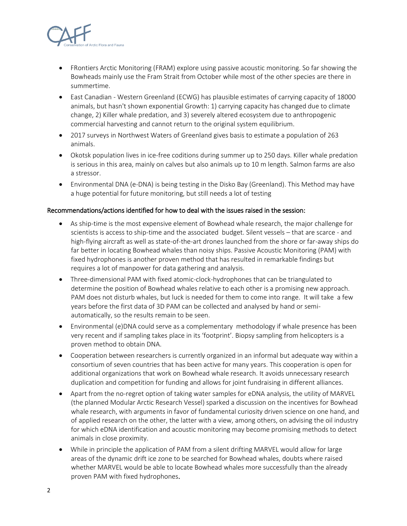

- FRontiers Arctic Monitoring (FRAM) explore using passive acoustic monitoring. So far showing the Bowheads mainly use the Fram Strait from October while most of the other species are there in summertime.
- East Canadian Western Greenland (ECWG) has plausible estimates of carrying capacity of 18000 animals, but hasn't shown exponential Growth: 1) carrying capacity has changed due to climate change, 2) Killer whale predation, and 3) severely altered ecosystem due to anthropogenic commercial harvesting and cannot return to the original system equilibrium.
- 2017 surveys in Northwest Waters of Greenland gives basis to estimate a population of 263 animals.
- Okotsk population lives in ice-free coditions during summer up to 250 days. Killer whale predation is serious in this area, mainly on calves but also animals up to 10 m length. Salmon farms are also a stressor.
- Environmental DNA (e-DNA) is being testing in the Disko Bay (Greenland). This Method may have a huge potential for future monitoring, but still needs a lot of testing

### Recommendations/actions identified for how to deal with the issues raised in the session:

- As ship-time is the most expensive element of Bowhead whale research, the major challenge for scientists is access to ship-time and the associated budget. Silent vessels – that are scarce - and high-flying aircraft as well as state-of-the-art drones launched from the shore or far-away ships do far better in locating Bowhead whales than noisy ships. Passive Acoustic Monitoring (PAM) with fixed hydrophones is another proven method that has resulted in remarkable findings but requires a lot of manpower for data gathering and analysis.
- Three-dimensional PAM with fixed atomic-clock-hydrophones that can be triangulated to determine the position of Bowhead whales relative to each other is a promising new approach. PAM does not disturb whales, but luck is needed for them to come into range. It will take a few years before the first data of 3D PAM can be collected and analysed by hand or semiautomatically, so the results remain to be seen.
- Environmental (e)DNA could serve as a complementary methodology if whale presence has been very recent and if sampling takes place in its 'footprint'. Biopsy sampling from helicopters is a proven method to obtain DNA.
- Cooperation between researchers is currently organized in an informal but adequate way within a consortium of seven countries that has been active for many years. This cooperation is open for additional organizations that work on Bowhead whale research. It avoids unnecessary research duplication and competition for funding and allows for joint fundraising in different alliances.
- Apart from the no-regret option of taking water samples for eDNA analysis, the utility of MARVEL (the planned Modular Arctic Research Vessel) sparked a discussion on the incentives for Bowhead whale research, with arguments in favor of fundamental curiosity driven science on one hand, and of applied research on the other, the latter with a view, among others, on advising the oil industry for which eDNA identification and acoustic monitoring may become promising methods to detect animals in close proximity.
- While in principle the application of PAM from a silent drifting MARVEL would allow for large areas of the dynamic drift ice zone to be searched for Bowhead whales, doubts where raised whether MARVEL would be able to locate Bowhead whales more successfully than the already proven PAM with fixed hydrophones.